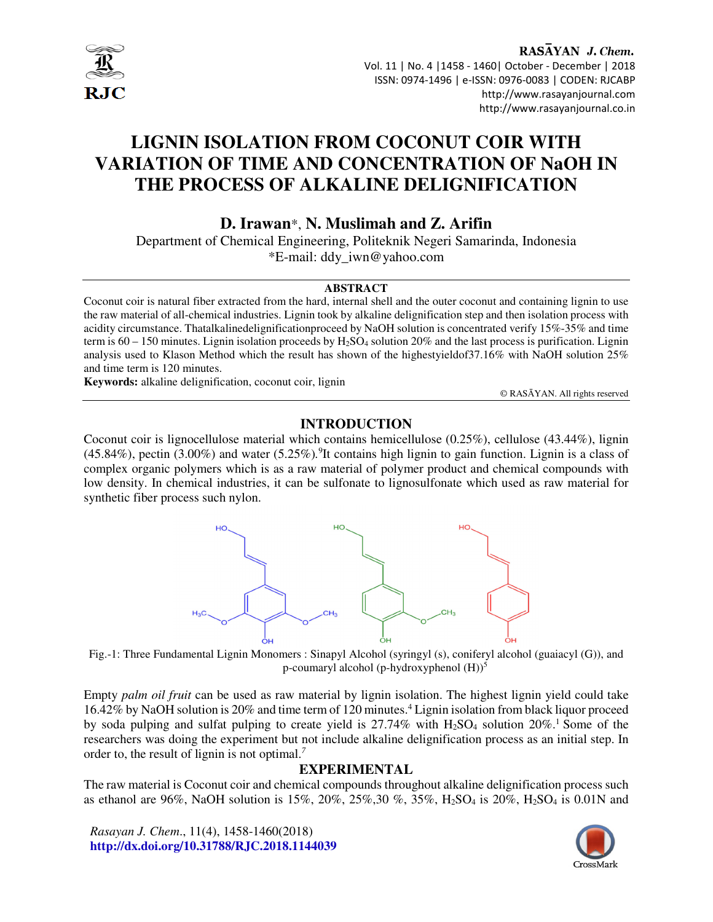

RASAYAN J. Chem. Vol. 11 | No. 4 |1458 - 1460| October - December | 2018 ISSN: 0974-1496 | e-ISSN: 0976-0083 | CODEN: RJCABP http://www.rasayanjournal.com http://www.rasayanjournal.co.in

# **LIGNIN ISOLATION FROM COCONUT COIR WITH VARIATION OF TIME AND CONCENTRATION OF NaOH IN THE PROCESS OF ALKALINE DELIGNIFICATION**

**D. Irawan**\*, **N. Muslimah and Z. Arifin** 

Department of Chemical Engineering, Politeknik Negeri Samarinda, Indonesia \*E-mail: ddy\_iwn@yahoo.com

#### **ABSTRACT**

Coconut coir is natural fiber extracted from the hard, internal shell and the outer coconut and containing lignin to use the raw material of all-chemical industries. Lignin took by alkaline delignification step and then isolation process with acidity circumstance. Thatalkalinedelignificationproceed by NaOH solution is concentrated verify 15%-35% and time term is  $60 - 150$  minutes. Lignin isolation proceeds by  $H_2SO_4$  solution 20% and the last process is purification. Lignin analysis used to Klason Method which the result has shown of the highestyieldof37.16% with NaOH solution 25% and time term is 120 minutes.

**Keywords:** alkaline delignification, coconut coir, lignin

© RASĀYAN. All rights reserved

# **INTRODUCTION**

Coconut coir is lignocellulose material which contains hemicellulose (0.25%), cellulose (43.44%), lignin (45.84%), pectin (3.00%) and water (5.25%)*.* 9 It contains high lignin to gain function. Lignin is a class of complex organic polymers which is as a raw material of polymer product and chemical compounds with low density. In chemical industries, it can be sulfonate to lignosulfonate which used as raw material for synthetic fiber process such nylon.



Fig.-1: Three Fundamental Lignin Monomers : Sinapyl Alcohol (syringyl (s), coniferyl alcohol (guaiacyl (G)), and p-coumaryl alcohol (p-hydroxyphenol  $(H)$ )<sup>5</sup>

Empty *palm oil fruit* can be used as raw material by lignin isolation. The highest lignin yield could take 16.42% by NaOH solution is 20% and time term of 120 minutes.<sup>4</sup> Lignin isolation from black liquor proceed by soda pulping and sulfat pulping to create yield is  $27.74\%$  with  $H_2SO_4$  solution  $20\%$ .<sup>1</sup> Some of the researchers was doing the experiment but not include alkaline delignification process as an initial step. In order to, the result of lignin is not optimal.*<sup>7</sup>*

#### **EXPERIMENTAL**

The raw material is Coconut coir and chemical compounds throughout alkaline delignification process such as ethanol are 96%, NaOH solution is 15%, 20%, 25%,30 %, 35%, H2SO4 is 20%, H2SO4 is 0.01N and

*Rasayan J. Chem*., 11(4), 1458-1460(2018) **http://dx.doi.org/10.31788/RJC.2018.1144039**

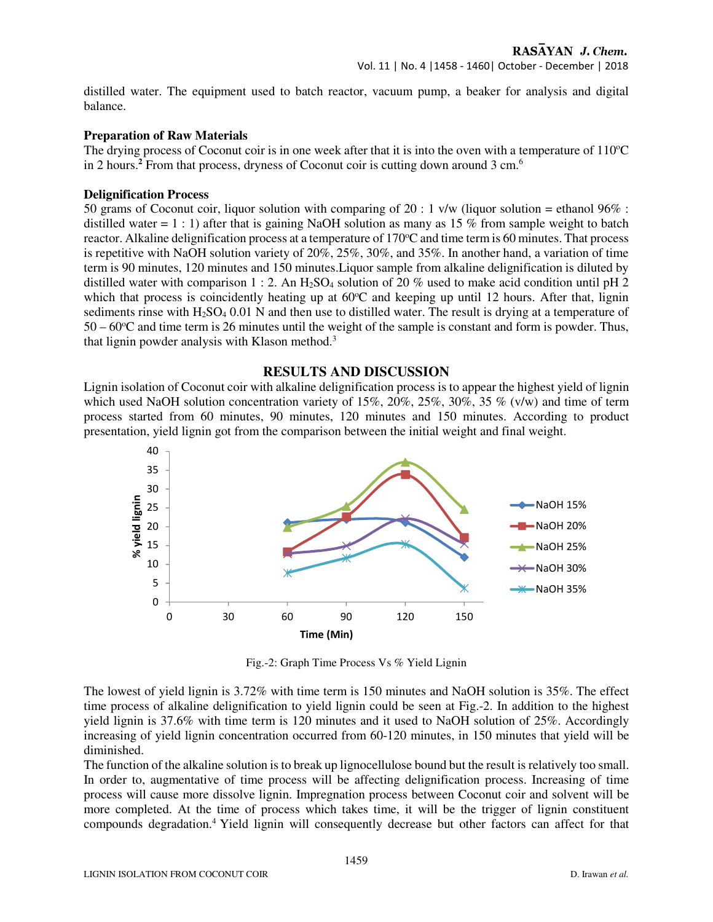distilled water. The equipment used to batch reactor, vacuum pump, a beaker for analysis and digital balance.

### **Preparation of Raw Materials**

The drying process of Coconut coir is in one week after that it is into the oven with a temperature of  $110^{\circ}C$ in 2 hours.**<sup>2</sup>** From that process, dryness of Coconut coir is cutting down around 3 cm.<sup>6</sup>

### **Delignification Process**

50 grams of Coconut coir, liquor solution with comparing of 20 : 1  $v/w$  (liquor solution = ethanol 96% : distilled water  $= 1 : 1$ ) after that is gaining NaOH solution as many as 15 % from sample weight to batch reactor. Alkaline delignification process at a temperature of 170°C and time term is 60 minutes. That process is repetitive with NaOH solution variety of 20%, 25%, 30%, and 35%. In another hand, a variation of time term is 90 minutes, 120 minutes and 150 minutes.Liquor sample from alkaline delignification is diluted by distilled water with comparison 1 : 2. An  $H_2SO_4$  solution of 20 % used to make acid condition until pH 2 which that process is coincidently heating up at  $60^{\circ}$ C and keeping up until 12 hours. After that, lignin sediments rinse with  $H_2SO_4$  0.01 N and then use to distilled water. The result is drying at a temperature of  $50 - 60^{\circ}$ C and time term is 26 minutes until the weight of the sample is constant and form is powder. Thus, that lignin powder analysis with Klason method.<sup>3</sup>

# **RESULTS AND DISCUSSION**

Lignin isolation of Coconut coir with alkaline delignification process is to appear the highest yield of lignin which used NaOH solution concentration variety of  $15\%, 20\%, 25\%, 30\%, 35\%$  (v/w) and time of term process started from 60 minutes, 90 minutes, 120 minutes and 150 minutes. According to product presentation, yield lignin got from the comparison between the initial weight and final weight.



Fig.-2: Graph Time Process Vs % Yield Lignin

The lowest of yield lignin is 3.72% with time term is 150 minutes and NaOH solution is 35%. The effect time process of alkaline delignification to yield lignin could be seen at Fig.-2. In addition to the highest yield lignin is 37.6% with time term is 120 minutes and it used to NaOH solution of 25%. Accordingly increasing of yield lignin concentration occurred from 60-120 minutes, in 150 minutes that yield will be diminished.

The function of the alkaline solution is to break up lignocellulose bound but the result is relatively too small. In order to, augmentative of time process will be affecting delignification process. Increasing of time process will cause more dissolve lignin. Impregnation process between Coconut coir and solvent will be more completed. At the time of process which takes time, it will be the trigger of lignin constituent compounds degradation.<sup>4</sup>Yield lignin will consequently decrease but other factors can affect for that